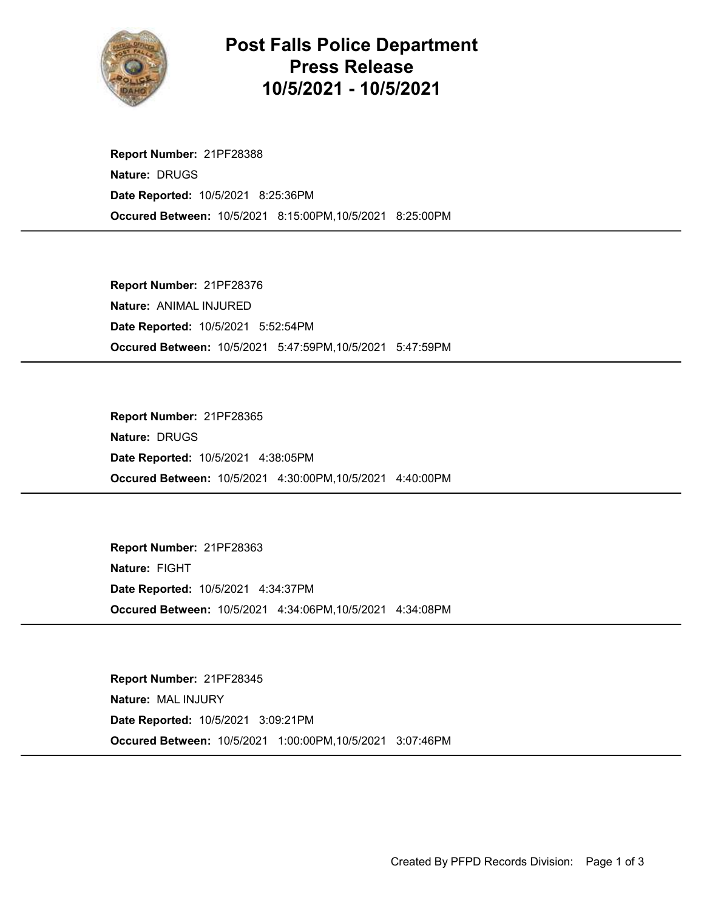

## Post Falls Police Department Press Release 10/5/2021 - 10/5/2021

Occured Between: 10/5/2021 8:15:00PM,10/5/2021 8:25:00PM Report Number: 21PF28388 Nature: DRUGS Date Reported: 10/5/2021 8:25:36PM

Occured Between: 10/5/2021 5:47:59PM,10/5/2021 5:47:59PM Report Number: 21PF28376 Nature: ANIMAL INJURED Date Reported: 10/5/2021 5:52:54PM

Occured Between: 10/5/2021 4:30:00PM,10/5/2021 4:40:00PM Report Number: 21PF28365 Nature: DRUGS Date Reported: 10/5/2021 4:38:05PM

Occured Between: 10/5/2021 4:34:06PM,10/5/2021 4:34:08PM Report Number: 21PF28363 Nature: FIGHT Date Reported: 10/5/2021 4:34:37PM

Occured Between: 10/5/2021 1:00:00PM,10/5/2021 3:07:46PM Report Number: 21PF28345 Nature: MAL INJURY Date Reported: 10/5/2021 3:09:21PM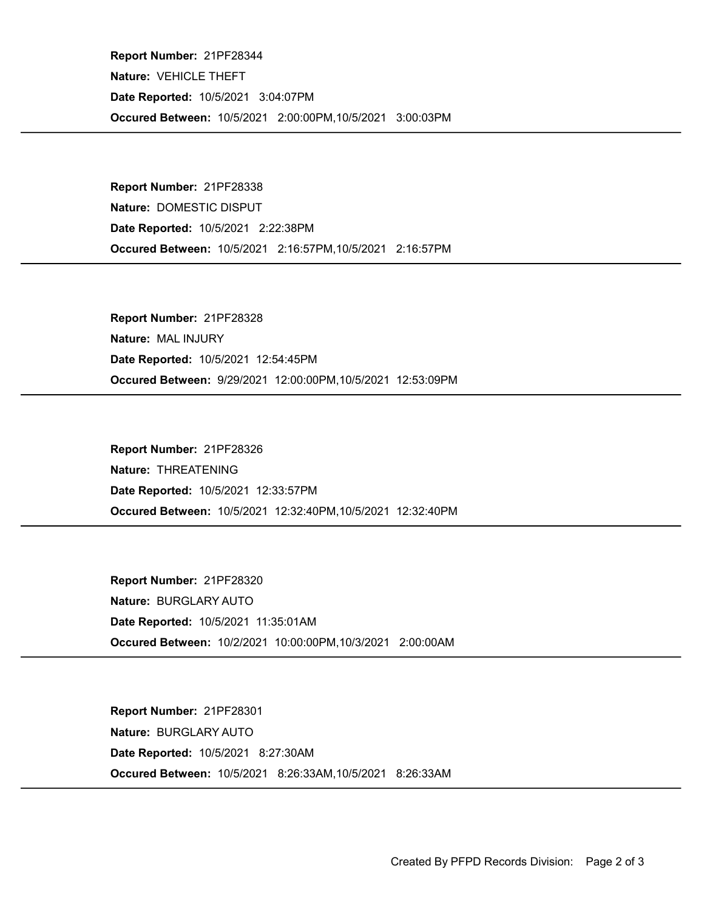Occured Between: 10/5/2021 2:00:00PM,10/5/2021 3:00:03PM Report Number: 21PF28344 Nature: VEHICLE THEFT Date Reported: 10/5/2021 3:04:07PM

Occured Between: 10/5/2021 2:16:57PM,10/5/2021 2:16:57PM Report Number: 21PF28338 Nature: DOMESTIC DISPUT Date Reported: 10/5/2021 2:22:38PM

Occured Between: 9/29/2021 12:00:00PM,10/5/2021 12:53:09PM Report Number: 21PF28328 Nature: MAL INJURY Date Reported: 10/5/2021 12:54:45PM

Occured Between: 10/5/2021 12:32:40PM,10/5/2021 12:32:40PM Report Number: 21PF28326 Nature: THREATENING Date Reported: 10/5/2021 12:33:57PM

Occured Between: 10/2/2021 10:00:00PM,10/3/2021 2:00:00AM Report Number: 21PF28320 Nature: BURGLARY AUTO Date Reported: 10/5/2021 11:35:01AM

Occured Between: 10/5/2021 8:26:33AM,10/5/2021 8:26:33AM Report Number: 21PF28301 Nature: BURGLARY AUTO Date Reported: 10/5/2021 8:27:30AM